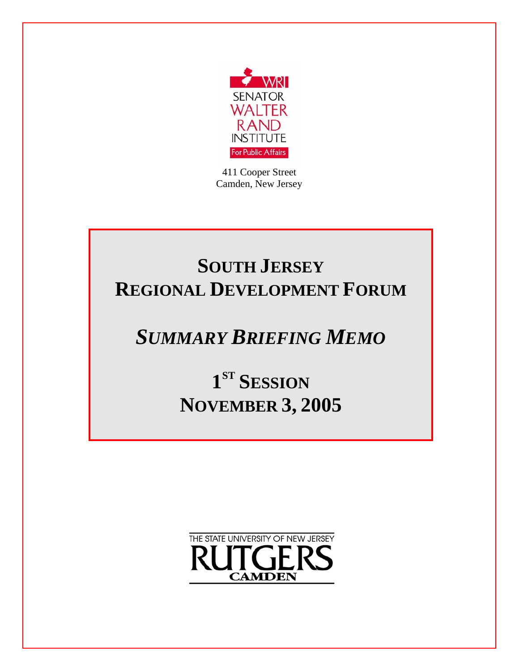

411 Cooper Street Camden, New Jersey

# **SOUTH JERSEY REGIONAL DEVELOPMENT FORUM**

# *SUMMARY BRIEFING MEMO*

**1ST SESSION NOVEMBER 3, 2005**

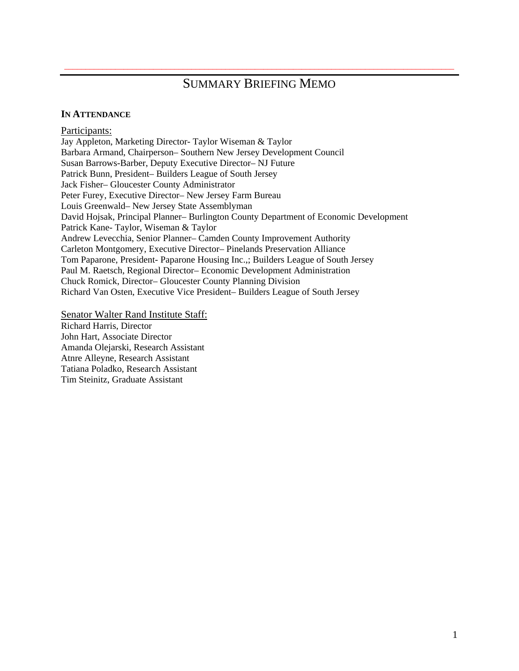## SUMMARY BRIEFING MEMO

\_\_\_\_\_\_\_\_\_\_\_\_\_\_\_\_\_\_\_\_\_\_\_\_\_\_\_\_\_\_\_\_\_\_\_\_\_\_\_\_\_\_\_\_\_\_\_\_\_\_\_\_\_\_\_\_\_\_\_\_\_\_\_\_\_\_\_\_\_\_\_\_\_\_\_\_\_\_\_\_\_\_\_\_\_\_\_\_\_\_\_\_

#### **IN ATTENDANCE**

Participants: Jay Appleton, Marketing Director- Taylor Wiseman & Taylor Barbara Armand, Chairperson– Southern New Jersey Development Council Susan Barrows-Barber, Deputy Executive Director– NJ Future Patrick Bunn, President– Builders League of South Jersey Jack Fisher– Gloucester County Administrator Peter Furey, Executive Director– New Jersey Farm Bureau Louis Greenwald– New Jersey State Assemblyman David Hojsak, Principal Planner– Burlington County Department of Economic Development Patrick Kane- Taylor, Wiseman & Taylor Andrew Levecchia, Senior Planner– Camden County Improvement Authority Carleton Montgomery, Executive Director– Pinelands Preservation Alliance Tom Paparone, President- Paparone Housing Inc.,; Builders League of South Jersey Paul M. Raetsch, Regional Director– Economic Development Administration Chuck Romick, Director– Gloucester County Planning Division Richard Van Osten, Executive Vice President– Builders League of South Jersey

Senator Walter Rand Institute Staff:

Richard Harris, Director John Hart, Associate Director Amanda Olejarski, Research Assistant Atnre Alleyne, Research Assistant Tatiana Poladko, Research Assistant Tim Steinitz, Graduate Assistant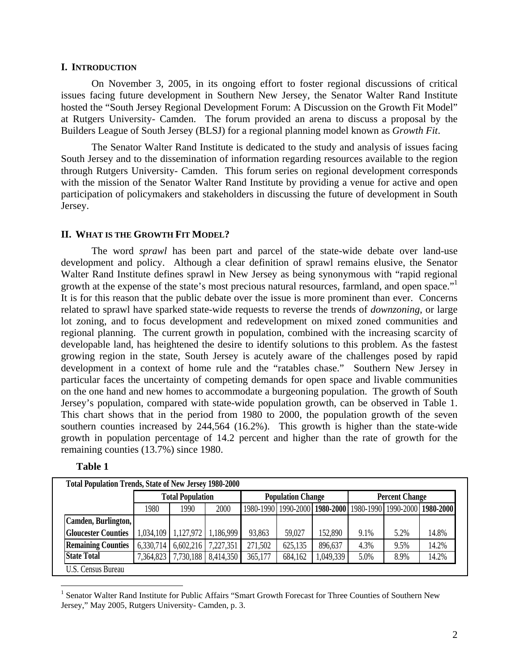#### **I. INTRODUCTION**

 On November 3, 2005, in its ongoing effort to foster regional discussions of critical issues facing future development in Southern New Jersey, the Senator Walter Rand Institute hosted the "South Jersey Regional Development Forum: A Discussion on the Growth Fit Model" at Rutgers University- Camden. The forum provided an arena to discuss a proposal by the Builders League of South Jersey (BLSJ) for a regional planning model known as *Growth Fit*.

 The Senator Walter Rand Institute is dedicated to the study and analysis of issues facing South Jersey and to the dissemination of information regarding resources available to the region through Rutgers University- Camden. This forum series on regional development corresponds with the mission of the Senator Walter Rand Institute by providing a venue for active and open participation of policymakers and stakeholders in discussing the future of development in South Jersey.

#### **II. WHAT IS THE GROWTH FIT MODEL?**

 The word *sprawl* has been part and parcel of the state-wide debate over land-use development and policy. Although a clear definition of sprawl remains elusive, the Senator Walter Rand Institute defines sprawl in New Jersey as being synonymous with "rapid regional growth at the expense of the state's most precious natural resources, farmland, and open space."<sup>1</sup> It is for this reason that the public debate over the issue is more prominent than ever. Concerns related to sprawl have sparked state-wide requests to reverse the trends of *downzoning*, or large lot zoning, and to focus development and redevelopment on mixed zoned communities and regional planning. The current growth in population, combined with the increasing scarcity of developable land, has heightened the desire to identify solutions to this problem. As the fastest growing region in the state, South Jersey is acutely aware of the challenges posed by rapid development in a context of home rule and the "ratables chase." Southern New Jersey in particular faces the uncertainty of competing demands for open space and livable communities on the one hand and new homes to accommodate a burgeoning population. The growth of South Jersey's population, compared with state-wide population growth, can be observed in Table 1. This chart shows that in the period from 1980 to 2000, the population growth of the seven southern counties increased by 244,564 (16.2%). This growth is higher than the state-wide growth in population percentage of 14.2 percent and higher than the rate of growth for the remaining counties (13.7%) since 1980.

|                            | <b>Total Population</b> |           |           | <b>Population Change</b> |         |           | <b>Percent Change</b> |                                                                       |       |
|----------------------------|-------------------------|-----------|-----------|--------------------------|---------|-----------|-----------------------|-----------------------------------------------------------------------|-------|
|                            | 1980                    | 1990      | 2000      |                          |         |           |                       | 1980-1990   1990-2000   1980-2000   1980-1990   1990-2000   1980-2000 |       |
| Camden, Burlington,        |                         |           |           |                          |         |           |                       |                                                                       |       |
| <b>Gloucester Counties</b> | 1,034,109               | 1,127,972 | 1,186,999 | 93,863                   | 59,027  | 152,890   | 9.1%                  | 5.2%                                                                  | 14.8% |
| <b>Remaining Counties</b>  | 6,330,714               | 6,602,216 | 7,227,351 | 271,502                  | 625,135 | 896,637   | 4.3%                  | 9.5%                                                                  | 14.2% |
| <b>State Total</b>         | 7,364,823               | 7,730,188 | 8,414,350 | 365,177                  | 684,162 | 1,049,339 | 5.0%                  | 8.9%                                                                  | 14.2% |

**Table 1** 

1

<sup>&</sup>lt;sup>1</sup> Senator Walter Rand Institute for Public Affairs "Smart Growth Forecast for Three Counties of Southern New Jersey," May 2005, Rutgers University- Camden, p. 3.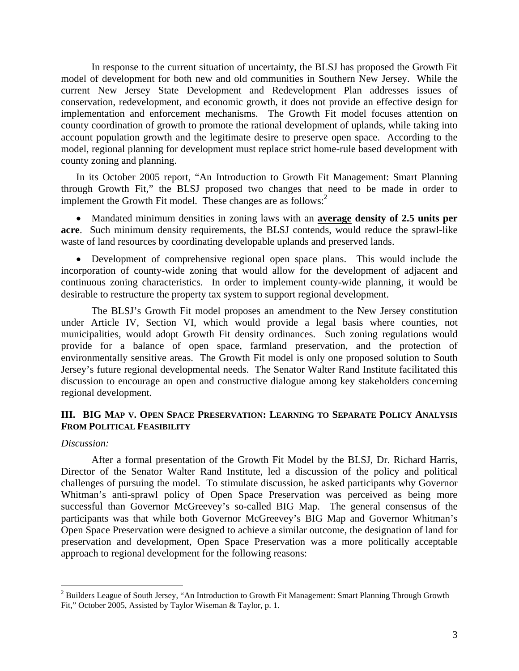In response to the current situation of uncertainty, the BLSJ has proposed the Growth Fit model of development for both new and old communities in Southern New Jersey. While the current New Jersey State Development and Redevelopment Plan addresses issues of conservation, redevelopment, and economic growth, it does not provide an effective design for implementation and enforcement mechanisms. The Growth Fit model focuses attention on county coordination of growth to promote the rational development of uplands, while taking into account population growth and the legitimate desire to preserve open space. According to the model, regional planning for development must replace strict home-rule based development with county zoning and planning.

In its October 2005 report, "An Introduction to Growth Fit Management: Smart Planning through Growth Fit," the BLSJ proposed two changes that need to be made in order to implement the Growth Fit model. These changes are as follows:<sup>2</sup>

• Mandated minimum densities in zoning laws with an **average density of 2.5 units per acre**. Such minimum density requirements, the BLSJ contends, would reduce the sprawl-like waste of land resources by coordinating developable uplands and preserved lands.

• Development of comprehensive regional open space plans. This would include the incorporation of county-wide zoning that would allow for the development of adjacent and continuous zoning characteristics. In order to implement county-wide planning, it would be desirable to restructure the property tax system to support regional development.

The BLSJ's Growth Fit model proposes an amendment to the New Jersey constitution under Article IV, Section VI, which would provide a legal basis where counties, not municipalities, would adopt Growth Fit density ordinances. Such zoning regulations would provide for a balance of open space, farmland preservation, and the protection of environmentally sensitive areas. The Growth Fit model is only one proposed solution to South Jersey's future regional developmental needs. The Senator Walter Rand Institute facilitated this discussion to encourage an open and constructive dialogue among key stakeholders concerning regional development.

## **III. BIG MAP V. OPEN SPACE PRESERVATION: LEARNING TO SEPARATE POLICY ANALYSIS FROM POLITICAL FEASIBILITY**

#### *Discussion:*

 $\overline{a}$ 

After a formal presentation of the Growth Fit Model by the BLSJ, Dr. Richard Harris, Director of the Senator Walter Rand Institute, led a discussion of the policy and political challenges of pursuing the model. To stimulate discussion, he asked participants why Governor Whitman's anti-sprawl policy of Open Space Preservation was perceived as being more successful than Governor McGreevey's so-called BIG Map. The general consensus of the participants was that while both Governor McGreevey's BIG Map and Governor Whitman's Open Space Preservation were designed to achieve a similar outcome, the designation of land for preservation and development, Open Space Preservation was a more politically acceptable approach to regional development for the following reasons:

 $2$  Builders League of South Jersey, "An Introduction to Growth Fit Management: Smart Planning Through Growth Fit," October 2005, Assisted by Taylor Wiseman & Taylor, p. 1.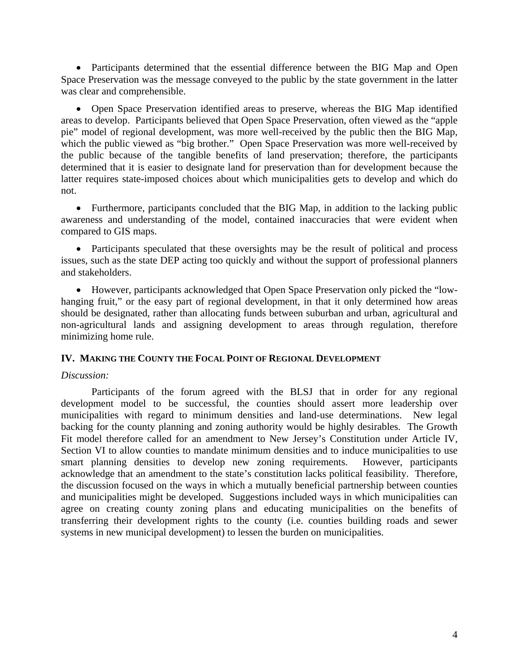• Participants determined that the essential difference between the BIG Map and Open Space Preservation was the message conveyed to the public by the state government in the latter was clear and comprehensible.

• Open Space Preservation identified areas to preserve, whereas the BIG Map identified areas to develop. Participants believed that Open Space Preservation, often viewed as the "apple pie" model of regional development, was more well-received by the public then the BIG Map, which the public viewed as "big brother." Open Space Preservation was more well-received by the public because of the tangible benefits of land preservation; therefore, the participants determined that it is easier to designate land for preservation than for development because the latter requires state-imposed choices about which municipalities gets to develop and which do not.

• Furthermore, participants concluded that the BIG Map, in addition to the lacking public awareness and understanding of the model, contained inaccuracies that were evident when compared to GIS maps.

• Participants speculated that these oversights may be the result of political and process issues, such as the state DEP acting too quickly and without the support of professional planners and stakeholders.

• However, participants acknowledged that Open Space Preservation only picked the "lowhanging fruit," or the easy part of regional development, in that it only determined how areas should be designated, rather than allocating funds between suburban and urban, agricultural and non-agricultural lands and assigning development to areas through regulation, therefore minimizing home rule.

## **IV. MAKING THE COUNTY THE FOCAL POINT OF REGIONAL DEVELOPMENT**

## *Discussion:*

 Participants of the forum agreed with the BLSJ that in order for any regional development model to be successful, the counties should assert more leadership over municipalities with regard to minimum densities and land-use determinations. New legal backing for the county planning and zoning authority would be highly desirables. The Growth Fit model therefore called for an amendment to New Jersey's Constitution under Article IV, Section VI to allow counties to mandate minimum densities and to induce municipalities to use smart planning densities to develop new zoning requirements. However, participants acknowledge that an amendment to the state's constitution lacks political feasibility. Therefore, the discussion focused on the ways in which a mutually beneficial partnership between counties and municipalities might be developed. Suggestions included ways in which municipalities can agree on creating county zoning plans and educating municipalities on the benefits of transferring their development rights to the county (i.e. counties building roads and sewer systems in new municipal development) to lessen the burden on municipalities.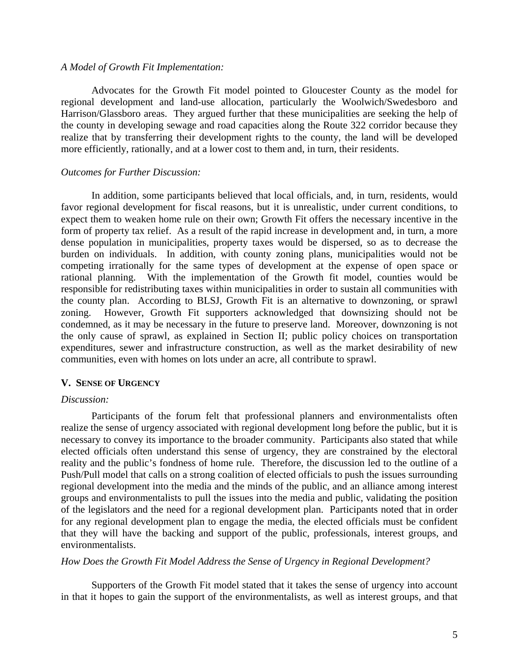#### *A Model of Growth Fit Implementation:*

Advocates for the Growth Fit model pointed to Gloucester County as the model for regional development and land-use allocation, particularly the Woolwich/Swedesboro and Harrison/Glassboro areas. They argued further that these municipalities are seeking the help of the county in developing sewage and road capacities along the Route 322 corridor because they realize that by transferring their development rights to the county, the land will be developed more efficiently, rationally, and at a lower cost to them and, in turn, their residents.

#### *Outcomes for Further Discussion:*

In addition, some participants believed that local officials, and, in turn, residents, would favor regional development for fiscal reasons, but it is unrealistic, under current conditions, to expect them to weaken home rule on their own; Growth Fit offers the necessary incentive in the form of property tax relief. As a result of the rapid increase in development and, in turn, a more dense population in municipalities, property taxes would be dispersed, so as to decrease the burden on individuals. In addition, with county zoning plans, municipalities would not be competing irrationally for the same types of development at the expense of open space or rational planning. With the implementation of the Growth fit model, counties would be responsible for redistributing taxes within municipalities in order to sustain all communities with the county plan. According to BLSJ, Growth Fit is an alternative to downzoning, or sprawl zoning. However, Growth Fit supporters acknowledged that downsizing should not be condemned, as it may be necessary in the future to preserve land. Moreover, downzoning is not the only cause of sprawl, as explained in Section II; public policy choices on transportation expenditures, sewer and infrastructure construction, as well as the market desirability of new communities, even with homes on lots under an acre, all contribute to sprawl.

#### **V. SENSE OF URGENCY**

#### *Discussion:*

 Participants of the forum felt that professional planners and environmentalists often realize the sense of urgency associated with regional development long before the public, but it is necessary to convey its importance to the broader community. Participants also stated that while elected officials often understand this sense of urgency, they are constrained by the electoral reality and the public's fondness of home rule. Therefore, the discussion led to the outline of a Push/Pull model that calls on a strong coalition of elected officials to push the issues surrounding regional development into the media and the minds of the public, and an alliance among interest groups and environmentalists to pull the issues into the media and public, validating the position of the legislators and the need for a regional development plan. Participants noted that in order for any regional development plan to engage the media, the elected officials must be confident that they will have the backing and support of the public, professionals, interest groups, and environmentalists.

#### *How Does the Growth Fit Model Address the Sense of Urgency in Regional Development?*

Supporters of the Growth Fit model stated that it takes the sense of urgency into account in that it hopes to gain the support of the environmentalists, as well as interest groups, and that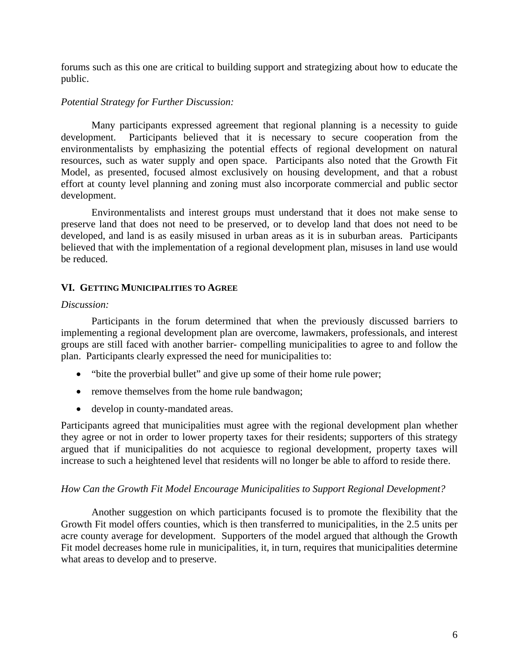forums such as this one are critical to building support and strategizing about how to educate the public.

## *Potential Strategy for Further Discussion:*

Many participants expressed agreement that regional planning is a necessity to guide development. Participants believed that it is necessary to secure cooperation from the environmentalists by emphasizing the potential effects of regional development on natural resources, such as water supply and open space. Participants also noted that the Growth Fit Model, as presented, focused almost exclusively on housing development, and that a robust effort at county level planning and zoning must also incorporate commercial and public sector development.

Environmentalists and interest groups must understand that it does not make sense to preserve land that does not need to be preserved, or to develop land that does not need to be developed, and land is as easily misused in urban areas as it is in suburban areas. Participants believed that with the implementation of a regional development plan, misuses in land use would be reduced.

## **VI. GETTING MUNICIPALITIES TO AGREE**

#### *Discussion:*

 Participants in the forum determined that when the previously discussed barriers to implementing a regional development plan are overcome, lawmakers, professionals, and interest groups are still faced with another barrier- compelling municipalities to agree to and follow the plan. Participants clearly expressed the need for municipalities to:

- "bite the proverbial bullet" and give up some of their home rule power;
- remove themselves from the home rule bandwagon;
- develop in county-mandated areas.

Participants agreed that municipalities must agree with the regional development plan whether they agree or not in order to lower property taxes for their residents; supporters of this strategy argued that if municipalities do not acquiesce to regional development, property taxes will increase to such a heightened level that residents will no longer be able to afford to reside there.

## *How Can the Growth Fit Model Encourage Municipalities to Support Regional Development?*

Another suggestion on which participants focused is to promote the flexibility that the Growth Fit model offers counties, which is then transferred to municipalities, in the 2.5 units per acre county average for development. Supporters of the model argued that although the Growth Fit model decreases home rule in municipalities, it, in turn, requires that municipalities determine what areas to develop and to preserve.